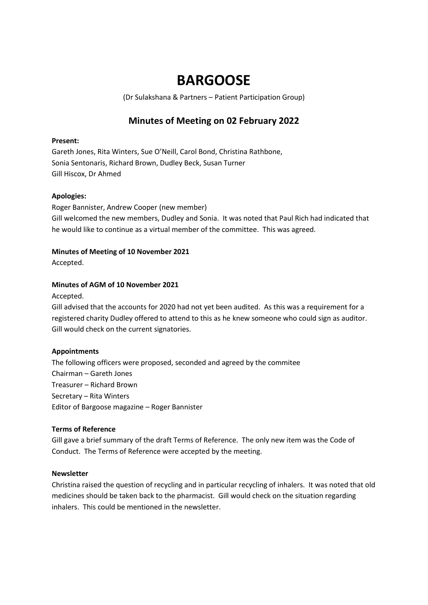# **BARGOOSE**

(Dr Sulakshana & Partners – Patient Participation Group)

# **Minutes of Meeting on 02 February 2022**

# **Present:**

Gareth Jones, Rita Winters, Sue O'Neill, Carol Bond, Christina Rathbone, Sonia Sentonaris, Richard Brown, Dudley Beck, Susan Turner Gill Hiscox, Dr Ahmed

# **Apologies:**

Roger Bannister, Andrew Cooper (new member) Gill welcomed the new members, Dudley and Sonia. It was noted that Paul Rich had indicated that he would like to continue as a virtual member of the committee. This was agreed.

# **Minutes of Meeting of 10 November 2021**

Accepted.

# **Minutes of AGM of 10 November 2021**

Accepted.

Gill advised that the accounts for 2020 had not yet been audited. As this was a requirement for a registered charity Dudley offered to attend to this as he knew someone who could sign as auditor. Gill would check on the current signatories.

# **Appointments**

The following officers were proposed, seconded and agreed by the commitee Chairman – Gareth Jones Treasurer – Richard Brown Secretary – Rita Winters Editor of Bargoose magazine – Roger Bannister

#### **Terms of Reference**

Gill gave a brief summary of the draft Terms of Reference. The only new item was the Code of Conduct. The Terms of Reference were accepted by the meeting.

#### **Newsletter**

Christina raised the question of recycling and in particular recycling of inhalers. It was noted that old medicines should be taken back to the pharmacist. Gill would check on the situation regarding inhalers. This could be mentioned in the newsletter.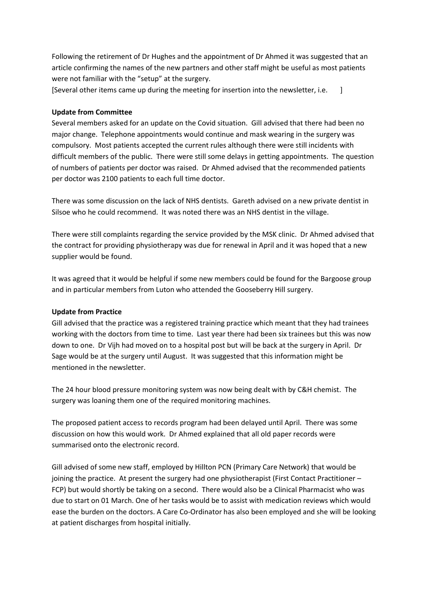Following the retirement of Dr Hughes and the appointment of Dr Ahmed it was suggested that an article confirming the names of the new partners and other staff might be useful as most patients were not familiar with the "setup" at the surgery.

[Several other items came up during the meeting for insertion into the newsletter, i.e. ]

#### **Update from Committee**

Several members asked for an update on the Covid situation. Gill advised that there had been no major change. Telephone appointments would continue and mask wearing in the surgery was compulsory. Most patients accepted the current rules although there were still incidents with difficult members of the public. There were still some delays in getting appointments. The question of numbers of patients per doctor was raised. Dr Ahmed advised that the recommended patients per doctor was 2100 patients to each full time doctor.

There was some discussion on the lack of NHS dentists. Gareth advised on a new private dentist in Silsoe who he could recommend. It was noted there was an NHS dentist in the village.

There were still complaints regarding the service provided by the MSK clinic. Dr Ahmed advised that the contract for providing physiotherapy was due for renewal in April and it was hoped that a new supplier would be found.

It was agreed that it would be helpful if some new members could be found for the Bargoose group and in particular members from Luton who attended the Gooseberry Hill surgery.

#### **Update from Practice**

Gill advised that the practice was a registered training practice which meant that they had trainees working with the doctors from time to time. Last year there had been six trainees but this was now down to one. Dr Vijh had moved on to a hospital post but will be back at the surgery in April. Dr Sage would be at the surgery until August. It was suggested that this information might be mentioned in the newsletter.

The 24 hour blood pressure monitoring system was now being dealt with by C&H chemist. The surgery was loaning them one of the required monitoring machines.

The proposed patient access to records program had been delayed until April. There was some discussion on how this would work. Dr Ahmed explained that all old paper records were summarised onto the electronic record.

Gill advised of some new staff, employed by Hillton PCN (Primary Care Network) that would be joining the practice. At present the surgery had one physiotherapist (First Contact Practitioner – FCP) but would shortly be taking on a second. There would also be a Clinical Pharmacist who was due to start on 01 March. One of her tasks would be to assist with medication reviews which would ease the burden on the doctors. A Care Co-Ordinator has also been employed and she will be looking at patient discharges from hospital initially.